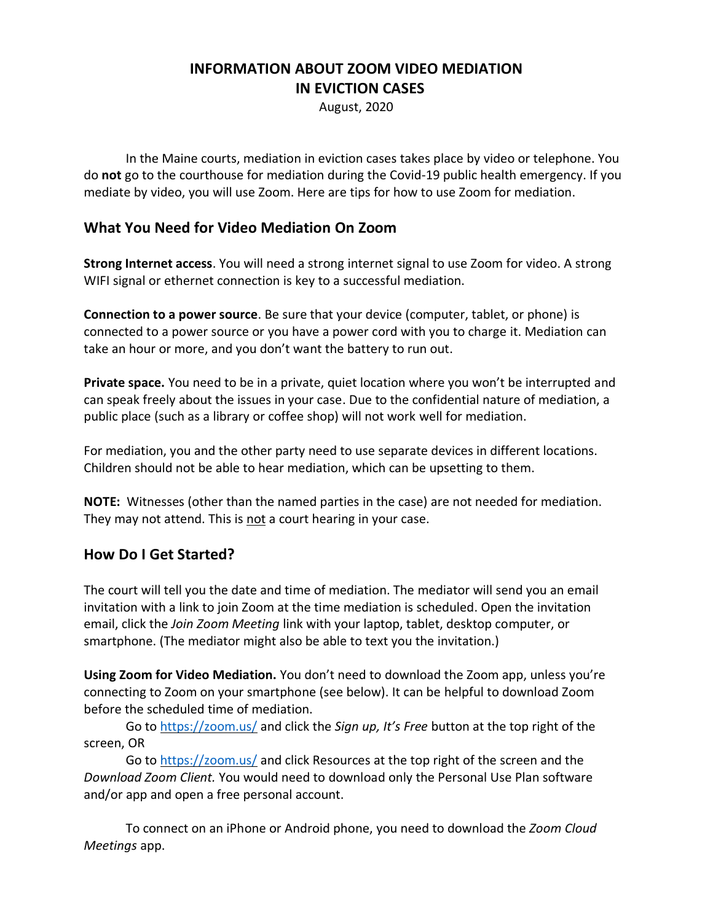# **INFORMATION ABOUT ZOOM VIDEO MEDIATION IN EVICTION CASES**

August, 2020

In the Maine courts, mediation in eviction cases takes place by video or telephone. You do **not** go to the courthouse for mediation during the Covid-19 public health emergency. If you mediate by video, you will use Zoom. Here are tips for how to use Zoom for mediation.

### **What You Need for Video Mediation On Zoom**

**Strong Internet access**. You will need a strong internet signal to use Zoom for video. A strong WIFI signal or ethernet connection is key to a successful mediation.

**Connection to a power source**. Be sure that your device (computer, tablet, or phone) is connected to a power source or you have a power cord with you to charge it. Mediation can take an hour or more, and you don't want the battery to run out.

**Private space.** You need to be in a private, quiet location where you won't be interrupted and can speak freely about the issues in your case. Due to the confidential nature of mediation, a public place (such as a library or coffee shop) will not work well for mediation.

For mediation, you and the other party need to use separate devices in different locations. Children should not be able to hear mediation, which can be upsetting to them.

**NOTE:** Witnesses (other than the named parties in the case) are not needed for mediation. They may not attend. This is not a court hearing in your case.

### **How Do I Get Started?**

The court will tell you the date and time of mediation. The mediator will send you an email invitation with a link to join Zoom at the time mediation is scheduled. Open the invitation email, click the *Join Zoom Meeting* link with your laptop, tablet, desktop computer, or smartphone. (The mediator might also be able to text you the invitation.)

**Using Zoom for Video Mediation.** You don't need to download the Zoom app, unless you're connecting to Zoom on your smartphone (see below). It can be helpful to download Zoom before the scheduled time of mediation.

Go to<https://zoom.us/> and click the *Sign up, It's Free* button at the top right of the screen, OR

Go to<https://zoom.us/> and click Resources at the top right of the screen and the *Download Zoom Client.* You would need to download only the Personal Use Plan software and/or app and open a free personal account.

To connect on an iPhone or Android phone, you need to download the *Zoom Cloud Meetings* app.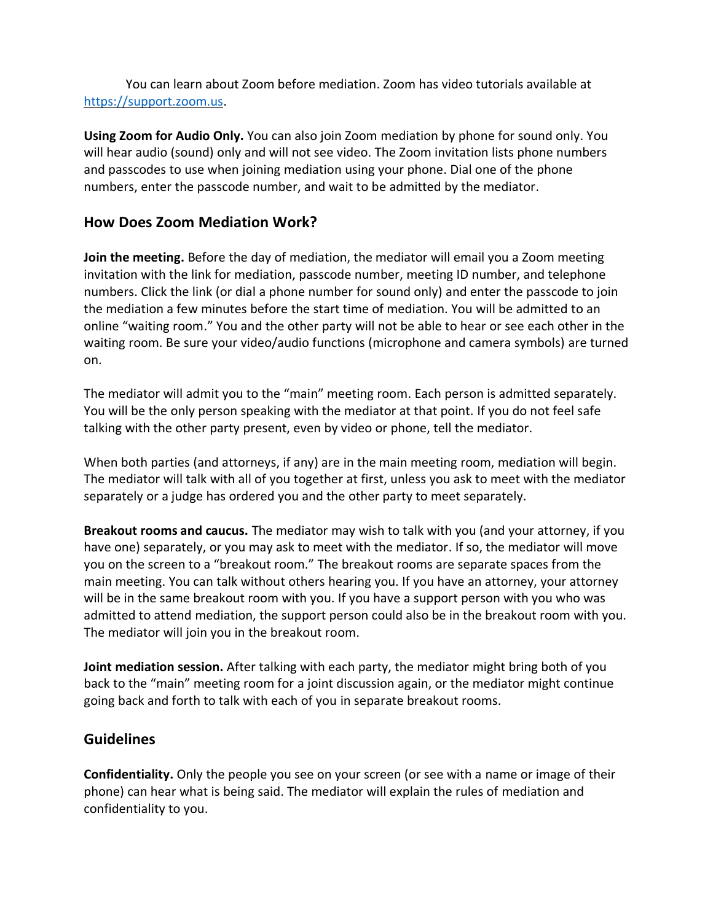You can learn about Zoom before mediation. Zoom has video tutorials available at [https://support.zoom.us.](https://support.zoom.us/)

**Using Zoom for Audio Only.** You can also join Zoom mediation by phone for sound only. You will hear audio (sound) only and will not see video. The Zoom invitation lists phone numbers and passcodes to use when joining mediation using your phone. Dial one of the phone numbers, enter the passcode number, and wait to be admitted by the mediator.

### **How Does Zoom Mediation Work?**

**Join the meeting.** Before the day of mediation, the mediator will email you a Zoom meeting invitation with the link for mediation, passcode number, meeting ID number, and telephone numbers. Click the link (or dial a phone number for sound only) and enter the passcode to join the mediation a few minutes before the start time of mediation. You will be admitted to an online "waiting room." You and the other party will not be able to hear or see each other in the waiting room. Be sure your video/audio functions (microphone and camera symbols) are turned on.

The mediator will admit you to the "main" meeting room. Each person is admitted separately. You will be the only person speaking with the mediator at that point. If you do not feel safe talking with the other party present, even by video or phone, tell the mediator.

When both parties (and attorneys, if any) are in the main meeting room, mediation will begin. The mediator will talk with all of you together at first, unless you ask to meet with the mediator separately or a judge has ordered you and the other party to meet separately.

**Breakout rooms and caucus.** The mediator may wish to talk with you (and your attorney, if you have one) separately, or you may ask to meet with the mediator. If so, the mediator will move you on the screen to a "breakout room." The breakout rooms are separate spaces from the main meeting. You can talk without others hearing you. If you have an attorney, your attorney will be in the same breakout room with you. If you have a support person with you who was admitted to attend mediation, the support person could also be in the breakout room with you. The mediator will join you in the breakout room.

**Joint mediation session.** After talking with each party, the mediator might bring both of you back to the "main" meeting room for a joint discussion again, or the mediator might continue going back and forth to talk with each of you in separate breakout rooms.

### **Guidelines**

**Confidentiality.** Only the people you see on your screen (or see with a name or image of their phone) can hear what is being said. The mediator will explain the rules of mediation and confidentiality to you.